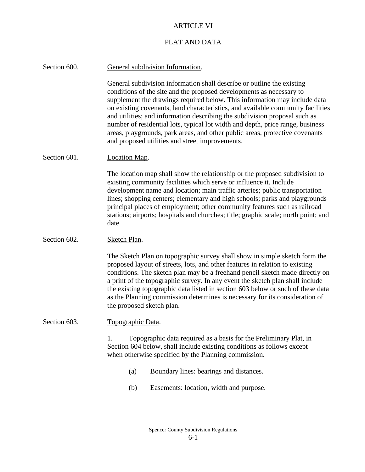## ARTICLE VI

## PLAT AND DATA

| Section 600. | General subdivision Information.                                                                                                                                                                                                                                                                                                                                                                                                                                                                                                                                                                                  |  |  |
|--------------|-------------------------------------------------------------------------------------------------------------------------------------------------------------------------------------------------------------------------------------------------------------------------------------------------------------------------------------------------------------------------------------------------------------------------------------------------------------------------------------------------------------------------------------------------------------------------------------------------------------------|--|--|
|              | General subdivision information shall describe or outline the existing<br>conditions of the site and the proposed developments as necessary to<br>supplement the drawings required below. This information may include data<br>on existing covenants, land characteristics, and available community facilities<br>and utilities; and information describing the subdivision proposal such as<br>number of residential lots, typical lot width and depth, price range, business<br>areas, playgrounds, park areas, and other public areas, protective covenants<br>and proposed utilities and street improvements. |  |  |
| Section 601. | <b>Location Map.</b>                                                                                                                                                                                                                                                                                                                                                                                                                                                                                                                                                                                              |  |  |
|              | The location map shall show the relationship or the proposed subdivision to<br>existing community facilities which serve or influence it. Include<br>development name and location; main traffic arteries; public transportation<br>lines; shopping centers; elementary and high schools; parks and playgrounds<br>principal places of employment; other community features such as railroad<br>stations; airports; hospitals and churches; title; graphic scale; north point; and<br>date.                                                                                                                       |  |  |
| Section 602. | Sketch Plan.                                                                                                                                                                                                                                                                                                                                                                                                                                                                                                                                                                                                      |  |  |
|              | The Sketch Plan on topographic survey shall show in simple sketch form the<br>proposed layout of streets, lots, and other features in relation to existing<br>conditions. The sketch plan may be a freehand pencil sketch made directly on<br>a print of the topographic survey. In any event the sketch plan shall include<br>the existing topographic data listed in section 603 below or such of these data<br>as the Planning commission determines is necessary for its consideration of<br>the proposed sketch plan.                                                                                        |  |  |
| Section 603. | Topographic Data.                                                                                                                                                                                                                                                                                                                                                                                                                                                                                                                                                                                                 |  |  |
|              | Topographic data required as a basis for the Preliminary Plat, in<br>1.<br>Section 604 below, shall include existing conditions as follows except<br>when otherwise specified by the Planning commission.                                                                                                                                                                                                                                                                                                                                                                                                         |  |  |
|              | Boundary lines: bearings and distances.<br>(a)                                                                                                                                                                                                                                                                                                                                                                                                                                                                                                                                                                    |  |  |
|              | Easements: location, width and purpose.<br>(b)                                                                                                                                                                                                                                                                                                                                                                                                                                                                                                                                                                    |  |  |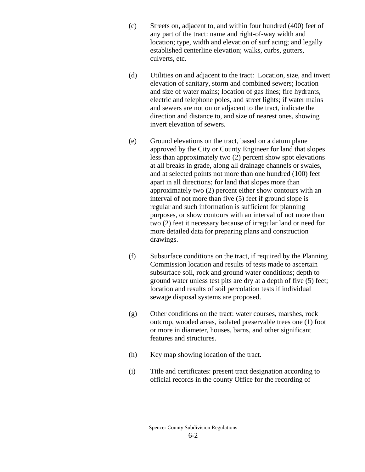- (c) Streets on, adjacent to, and within four hundred (400) feet of any part of the tract: name and right-of-way width and location; type, width and elevation of surf acing; and legally established centerline elevation; walks, curbs, gutters, culverts, etc.
- (d) Utilities on and adjacent to the tract: Location, size, and invert elevation of sanitary, storm and combined sewers; location and size of water mains; location of gas lines; fire hydrants, electric and telephone poles, and street lights; if water mains and sewers are not on or adjacent to the tract, indicate the direction and distance to, and size of nearest ones, showing invert elevation of sewers.
- (e) Ground elevations on the tract, based on a datum plane approved by the City or County Engineer for land that slopes less than approximately two (2) percent show spot elevations at all breaks in grade, along all drainage channels or swales, and at selected points not more than one hundred (100) feet apart in all directions; for land that slopes more than approximately two (2) percent either show contours with an interval of not more than five (5) feet if ground slope is regular and such information is sufficient for planning purposes, or show contours with an interval of not more than two (2) feet it necessary because of irregular land or need for more detailed data for preparing plans and construction drawings.
- (f) Subsurface conditions on the tract, if required by the Planning Commission location and results of tests made to ascertain subsurface soil, rock and ground water conditions; depth to ground water unless test pits are dry at a depth of five (5) feet; location and results of soil percolation tests if individual sewage disposal systems are proposed.
- (g) Other conditions on the tract: water courses, marshes, rock outcrop, wooded areas, isolated preservable trees one (1) foot or more in diameter, houses, barns, and other significant features and structures.
- (h) Key map showing location of the tract.
- (i) Title and certificates: present tract designation according to official records in the county Office for the recording of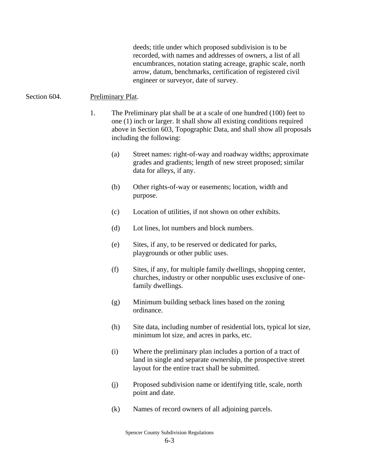deeds; title under which proposed subdivision is to be recorded, with names and addresses of owners, a list of all encumbrances, notation stating acreage, graphic scale, north arrow, datum, benchmarks, certification of registered civil engineer or surveyor, date of survey.

## Section 604. Preliminary Plat.

- 1. The Preliminary plat shall be at a scale of one hundred (100) feet to one (1) inch or larger. It shall show all existing conditions required above in Section 603, Topographic Data, and shall show all proposals including the following:
	- (a) Street names: right-of-way and roadway widths; approximate grades and gradients; length of new street proposed; similar data for alleys, if any.
	- (b) Other rights-of-way or easements; location, width and purpose.
	- (c) Location of utilities, if not shown on other exhibits.
	- (d) Lot lines, lot numbers and block numbers.
	- (e) Sites, if any, to be reserved or dedicated for parks, playgrounds or other public uses.
	- (f) Sites, if any, for multiple family dwellings, shopping center, churches, industry or other nonpublic uses exclusive of onefamily dwellings.
	- (g) Minimum building setback lines based on the zoning ordinance.
	- (h) Site data, including number of residential lots, typical lot size, minimum lot size, and acres in parks, etc.
	- (i) Where the preliminary plan includes a portion of a tract of land in single and separate ownership, the prospective street layout for the entire tract shall be submitted.
	- (j) Proposed subdivision name or identifying title, scale, north point and date.
	- (k) Names of record owners of all adjoining parcels.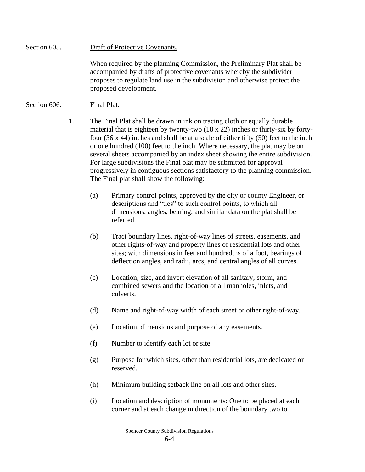Section 605. Draft of Protective Covenants.

When required by the planning Commission, the Preliminary Plat shall be accompanied by drafts of protective covenants whereby the subdivider proposes to regulate land use in the subdivision and otherwise protect the proposed development.

## Section 606. Final Plat.

- 1. The Final Plat shall be drawn in ink on tracing cloth or equally durable material that is eighteen by twenty-two (18 x 22) inches or thirty-six by fortyfour **(**36 x 44) inches and shall be at a scale of either fifty (50) feet to the inch or one hundred (100) feet to the inch. Where necessary, the plat may be on several sheets accompanied by an index sheet showing the entire subdivision. For large subdivisions the Final plat may be submitted for approval progressively in contiguous sections satisfactory to the planning commission. The Final plat shall show the following:
	- (a) Primary control points, approved by the city or county Engineer, or descriptions and "ties" to such control points, to which all dimensions, angles, bearing, and similar data on the plat shall be referred.
	- (b) Tract boundary lines, right-of-way lines of streets, easements, and other rights-of-way and property lines of residential lots and other sites; with dimensions in feet and hundredths of a foot, bearings of deflection angles, and radii, arcs, and central angles of all curves.
	- (c) Location, size, and invert elevation of all sanitary, storm, and combined sewers and the location of all manholes, inlets, and culverts.
	- (d) Name and right-of-way width of each street or other right-of-way.
	- (e) Location, dimensions and purpose of any easements.
	- (f) Number to identify each lot or site.
	- (g) Purpose for which sites, other than residential lots, are dedicated or reserved.
	- (h) Minimum building setback line on all lots and other sites.
	- (i) Location and description of monuments: One to be placed at each corner and at each change in direction of the boundary two to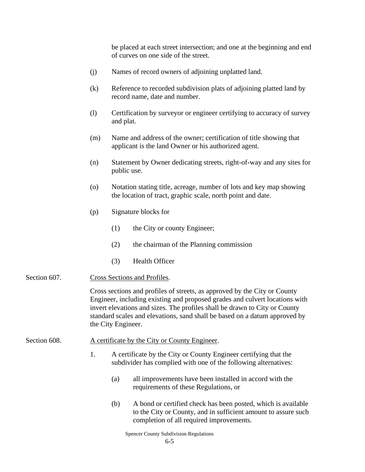be placed at each street intersection; and one at the beginning and end of curves on one side of the street.

- (j) Names of record owners of adjoining unplatted land.
- (k) Reference to recorded subdivision plats of adjoining platted land by record name, date and number.
- (l) Certification by surveyor or engineer certifying to accuracy of survey and plat.
- (m) Name and address of the owner; certification of title showing that applicant is the land Owner or his authorized agent.
- (n) Statement by Owner dedicating streets, right-of-way and any sites for public use.
- (o) Notation stating title, acreage, number of lots and key map showing the location of tract, graphic scale, north point and date.
- (p) Signature blocks for
	- (1) the City or county Engineer;
	- (2) the chairman of the Planning commission
	- (3) Health Officer
- Section 607. Cross Sections and Profiles.

Cross sections and profiles of streets, as approved by the City or County Engineer, including existing and proposed grades and culvert locations with invert elevations and sizes. The profiles shall be drawn to City or County standard scales and elevations, sand shall be based on a datum approved by the City Engineer.

- Section 608. A certificate by the City or County Engineer.
	- 1. A certificate by the City or County Engineer certifying that the subdivider has complied with one of the following alternatives:
		- (a) all improvements have been installed in accord with the requirements of these Regulations, or
		- (b) A bond or certified check has been posted, which is available to the City or County, and in sufficient amount to assure such completion of all required improvements.